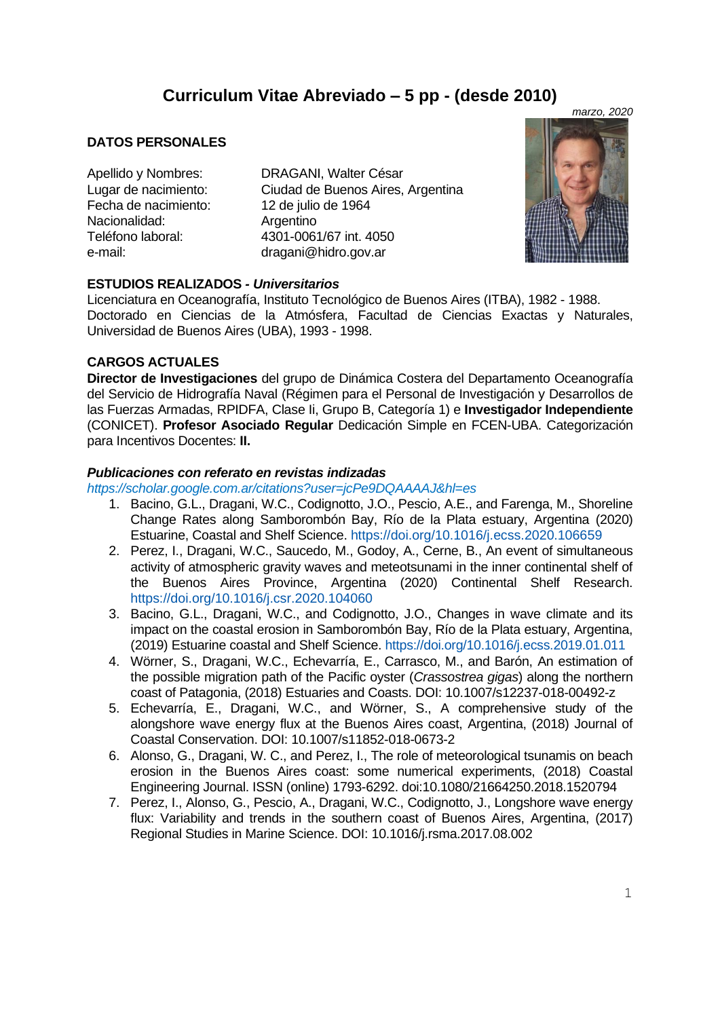# **Curriculum Vitae Abreviado – 5 pp - (desde 2010)**

## **DATOS PERSONALES**

Fecha de nacimiento: 12 de julio de 1964 Nacionalidad: Argentino

Apellido y Nombres: DRAGANI, Walter César Lugar de nacimiento: Ciudad de Buenos Aires, Argentina Teléfono laboral: 4301-0061/67 int. 4050 e-mail: dragani@hidro.gov.ar



## **ESTUDIOS REALIZADOS** *- Universitarios*

Licenciatura en Oceanografía, Instituto Tecnológico de Buenos Aires (ITBA), 1982 - 1988. Doctorado en Ciencias de la Atmósfera, Facultad de Ciencias Exactas y Naturales, Universidad de Buenos Aires (UBA), 1993 - 1998.

## **CARGOS ACTUALES**

**Director de Investigaciones** del grupo de Dinámica Costera del Departamento Oceanografía del Servicio de Hidrografía Naval (Régimen para el Personal de Investigación y Desarrollos de las Fuerzas Armadas, RPIDFA, Clase Ii, Grupo B, Categoría 1) e **Investigador Independiente** (CONICET). **Profesor Asociado Regular** Dedicación Simple en FCEN-UBA. Categorización para Incentivos Docentes: **II.**

## *Publicaciones con referato en revistas indizadas*

*https://scholar.google.com.ar/citations?user=jcPe9DQAAAAJ&hl=es*

- 1. Bacino, G.L., Dragani, W.C., Codignotto, J.O., Pescio, A.E., and Farenga, M., Shoreline Change Rates along Samborombón Bay, Río de la Plata estuary, Argentina (2020) Estuarine, Coastal and Shelf Science. https://doi.org/10.1016/j.ecss.2020.106659
- 2. Perez, I., Dragani, W.C., Saucedo, M., Godoy, A., Cerne, B., An event of simultaneous activity of atmospheric gravity waves and meteotsunami in the inner continental shelf of the Buenos Aires Province, Argentina (2020) Continental Shelf Research. https://doi.org/10.1016/j.csr.2020.104060
- 3. Bacino, G.L., Dragani, W.C., and Codignotto, J.O., Changes in wave climate and its impact on the coastal erosion in Samborombón Bay, Río de la Plata estuary, Argentina, (2019) Estuarine coastal and Shelf Science.<https://doi.org/10.1016/j.ecss.2019.01.011>
- 4. Wörner, S., Dragani, W.C., Echevarría, E., Carrasco, M., and Barón, An estimation of the possible migration path of the Pacific oyster (*Crassostrea gigas*) along the northern coast of Patagonia, (2018) Estuaries and Coasts. DOI: 10.1007/s12237-018-00492-z
- 5. Echevarría, E., Dragani, W.C., and Wörner, S., A comprehensive study of the alongshore wave energy flux at the Buenos Aires coast, Argentina, (2018) Journal of Coastal Conservation. DOI: 10.1007/s11852-018-0673-2
- 6. Alonso, G., Dragani, W. C., and Perez, I., The role of meteorological tsunamis on beach erosion in the Buenos Aires coast: some numerical experiments, (2018) Coastal Engineering Journal. ISSN (online) 1793-6292. doi:10.1080/21664250.2018.1520794
- 7. Perez, I., Alonso, G., Pescio, A., Dragani, W.C., Codignotto, J., Longshore wave energy flux: Variability and trends in the southern coast of Buenos Aires, Argentina, (2017) Regional Studies in Marine Science. DOI: 10.1016/j.rsma.2017.08.002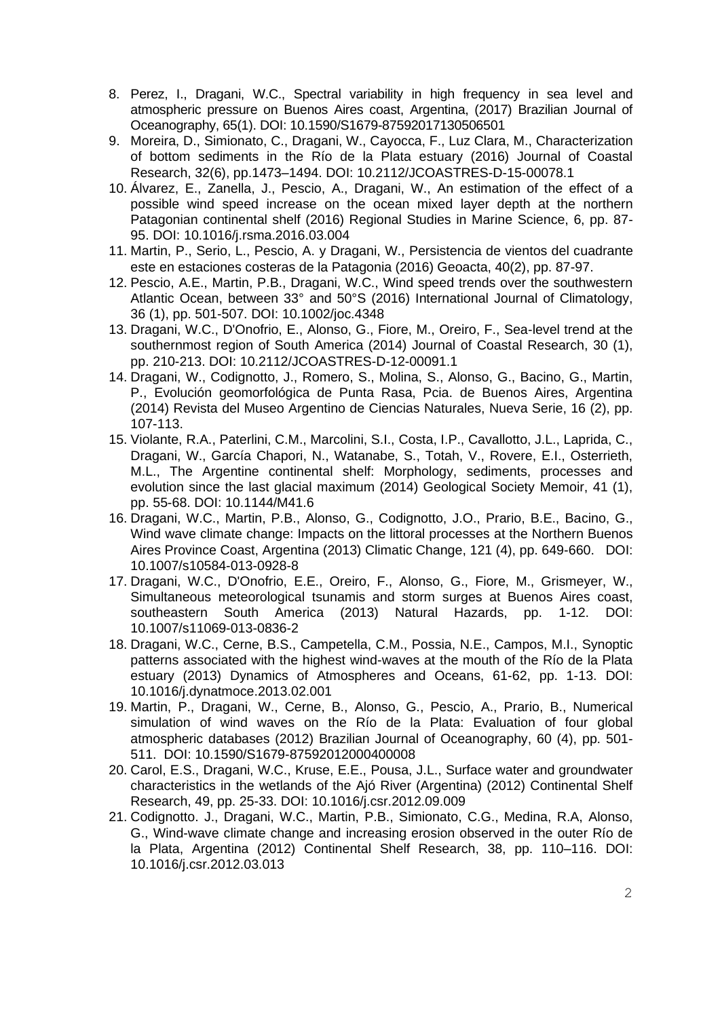- 8. Perez, I., Dragani, W.C., Spectral variability in high frequency in sea level and atmospheric pressure on Buenos Aires coast, Argentina, (2017) Brazilian Journal of Oceanography, 65(1). DOI: 10.1590/S1679-87592017130506501
- 9. Moreira, D., Simionato, C., Dragani, W., Cayocca, F., Luz Clara, M., Characterization of bottom sediments in the Río de la Plata estuary (2016) Journal of Coastal Research, 32(6), pp.1473–1494. DOI: 10.2112/JCOASTRES-D-15-00078.1
- 10. Álvarez, E., Zanella, J., Pescio, A., Dragani, W., An estimation of the effect of a possible wind speed increase on the ocean mixed layer depth at the northern Patagonian continental shelf (2016) Regional Studies in Marine Science, 6, pp. 87- 95. DOI: 10.1016/j.rsma.2016.03.004
- 11. Martin, P., Serio, L., Pescio, A. y Dragani, W., Persistencia de vientos del cuadrante este en estaciones costeras de la Patagonia (2016) Geoacta, 40(2), pp. 87-97.
- 12. Pescio, A.E., Martin, P.B., Dragani, W.C., Wind speed trends over the southwestern Atlantic Ocean, between 33° and 50°S (2016) International Journal of Climatology, 36 (1), pp. 501-507. DOI: 10.1002/joc.4348
- 13. Dragani, W.C., D'Onofrio, E., Alonso, G., Fiore, M., Oreiro, F., Sea-level trend at the southernmost region of South America (2014) Journal of Coastal Research, 30 (1), pp. 210-213. DOI: 10.2112/JCOASTRES-D-12-00091.1
- 14. Dragani, W., Codignotto, J., Romero, S., Molina, S., Alonso, G., Bacino, G., Martin, P., Evolución geomorfológica de Punta Rasa, Pcia. de Buenos Aires, Argentina (2014) Revista del Museo Argentino de Ciencias Naturales, Nueva Serie, 16 (2), pp. 107-113.
- 15. Violante, R.A., Paterlini, C.M., Marcolini, S.I., Costa, I.P., Cavallotto, J.L., Laprida, C., Dragani, W., García Chapori, N., Watanabe, S., Totah, V., Rovere, E.I., Osterrieth, M.L., The Argentine continental shelf: Morphology, sediments, processes and evolution since the last glacial maximum (2014) Geological Society Memoir, 41 (1), pp. 55-68. DOI: 10.1144/M41.6
- 16. Dragani, W.C., Martin, P.B., Alonso, G., Codignotto, J.O., Prario, B.E., Bacino, G., Wind wave climate change: Impacts on the littoral processes at the Northern Buenos Aires Province Coast, Argentina (2013) Climatic Change, 121 (4), pp. 649-660. DOI: 10.1007/s10584-013-0928-8
- 17. Dragani, W.C., D'Onofrio, E.E., Oreiro, F., Alonso, G., Fiore, M., Grismeyer, W., Simultaneous meteorological tsunamis and storm surges at Buenos Aires coast, southeastern South America (2013) Natural Hazards, pp. 1-12. DOI: 10.1007/s11069-013-0836-2
- 18. Dragani, W.C., Cerne, B.S., Campetella, C.M., Possia, N.E., Campos, M.I., Synoptic patterns associated with the highest wind-waves at the mouth of the Río de la Plata estuary (2013) Dynamics of Atmospheres and Oceans, 61-62, pp. 1-13. DOI: 10.1016/j.dynatmoce.2013.02.001
- 19. Martin, P., Dragani, W., Cerne, B., Alonso, G., Pescio, A., Prario, B., Numerical simulation of wind waves on the Río de la Plata: Evaluation of four global atmospheric databases (2012) Brazilian Journal of Oceanography, 60 (4), pp. 501- 511. DOI: 10.1590/S1679-87592012000400008
- 20. Carol, E.S., Dragani, W.C., Kruse, E.E., Pousa, J.L., Surface water and groundwater characteristics in the wetlands of the Ajó River (Argentina) (2012) Continental Shelf Research, 49, pp. 25-33. DOI: 10.1016/j.csr.2012.09.009
- 21. Codignotto. J., Dragani, W.C., Martin, P.B., Simionato, C.G., Medina, R.A, Alonso, G., Wind-wave climate change and increasing erosion observed in the outer Río de la Plata, Argentina (2012) Continental Shelf Research, 38, pp. 110–116. DOI: 10.1016/j.csr.2012.03.013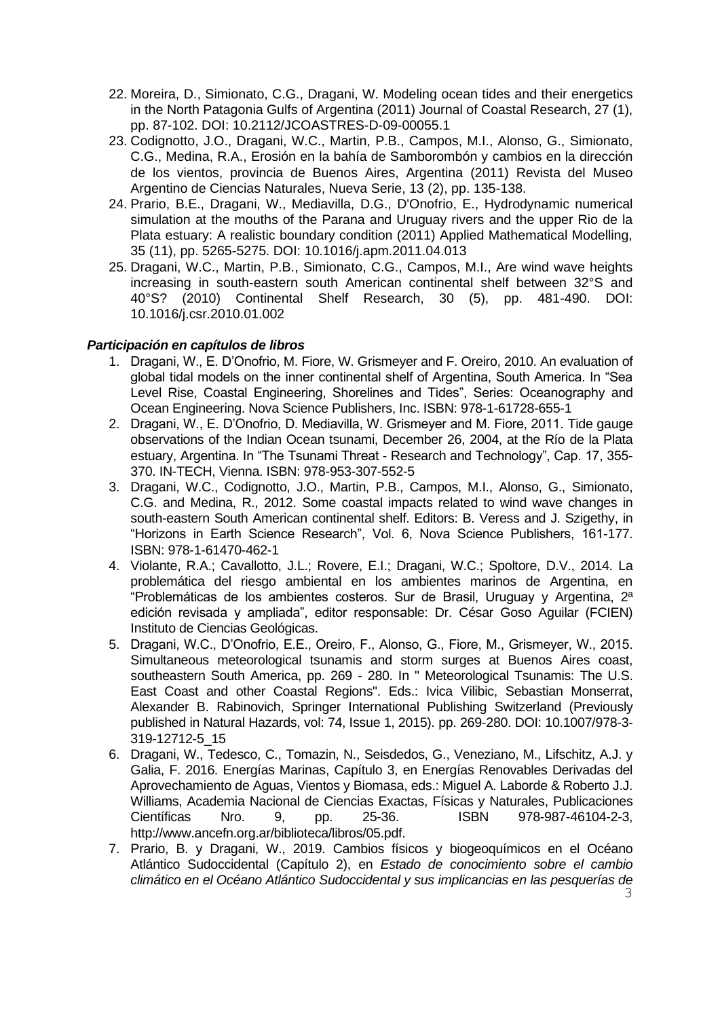- 22. Moreira, D., Simionato, C.G., Dragani, W. Modeling ocean tides and their energetics in the North Patagonia Gulfs of Argentina (2011) Journal of Coastal Research, 27 (1), pp. 87-102. DOI: 10.2112/JCOASTRES-D-09-00055.1
- 23. Codignotto, J.O., Dragani, W.C., Martin, P.B., Campos, M.I., Alonso, G., Simionato, C.G., Medina, R.A., Erosión en la bahía de Samborombón y cambios en la dirección de los vientos, provincia de Buenos Aires, Argentina (2011) Revista del Museo Argentino de Ciencias Naturales, Nueva Serie, 13 (2), pp. 135-138.
- 24. Prario, B.E., Dragani, W., Mediavilla, D.G., D'Onofrio, E., Hydrodynamic numerical simulation at the mouths of the Parana and Uruguay rivers and the upper Rio de la Plata estuary: A realistic boundary condition (2011) Applied Mathematical Modelling, 35 (11), pp. 5265-5275. DOI: 10.1016/j.apm.2011.04.013
- 25. Dragani, W.C., Martin, P.B., Simionato, C.G., Campos, M.I., Are wind wave heights increasing in south-eastern south American continental shelf between 32°S and 40°S? (2010) Continental Shelf Research, 30 (5), pp. 481-490. DOI: 10.1016/j.csr.2010.01.002

# *Participación en capítulos de libros*

- 1. Dragani, W., E. D'Onofrio, M. Fiore, W. Grismeyer and F. Oreiro, 2010. An evaluation of global tidal models on the inner continental shelf of Argentina, South America. In "Sea Level Rise, Coastal Engineering, Shorelines and Tides", Series: Oceanography and Ocean Engineering. Nova Science Publishers, Inc. ISBN: 978-1-61728-655-1
- 2. Dragani, W., E. D'Onofrio, D. Mediavilla, W. Grismeyer and M. Fiore, 2011. Tide gauge observations of the Indian Ocean tsunami, December 26, 2004, at the Río de la Plata estuary, Argentina. In "The Tsunami Threat - Research and Technology", Cap. 17, 355- 370. IN-TECH, Vienna. ISBN: 978-953-307-552-5
- 3. Dragani, W.C., Codignotto, J.O., Martin, P.B., Campos, M.I., Alonso, G., Simionato, C.G. and Medina, R., 2012. Some coastal impacts related to wind wave changes in south-eastern South American continental shelf. Editors: B. Veress and J. Szigethy, in "Horizons in Earth Science Research", Vol. 6, Nova Science Publishers, 161-177. ISBN: 978-1-61470-462-1
- 4. Violante, R.A.; Cavallotto, J.L.; Rovere, E.I.; Dragani, W.C.; Spoltore, D.V., 2014. La problemática del riesgo ambiental en los ambientes marinos de Argentina, en "Problemáticas de los ambientes costeros. Sur de Brasil, Uruguay y Argentina, 2ª edición revisada y ampliada", editor responsable: Dr. César Goso Aguilar (FCIEN) Instituto de Ciencias Geológicas.
- 5. Dragani, W.C., D'Onofrio, E.E., Oreiro, F., Alonso, G., Fiore, M., Grismeyer, W., 2015. Simultaneous meteorological tsunamis and storm surges at Buenos Aires coast, southeastern South America, pp. 269 - 280. In " Meteorological Tsunamis: The U.S. East Coast and other Coastal Regions". Eds.: Ivica Vilibic, Sebastian Monserrat, Alexander B. Rabinovich, Springer International Publishing Switzerland (Previously published in Natural Hazards, vol: 74, Issue 1, 2015). pp. 269-280. DOI: 10.1007/978-3- 319-12712-5\_15
- 6. Dragani, W., Tedesco, C., Tomazin, N., Seisdedos, G., Veneziano, M., Lifschitz, A.J. y Galia, F. 2016. Energías Marinas, Capítulo 3, en Energías Renovables Derivadas del Aprovechamiento de Aguas, Vientos y Biomasa, eds.: Miguel A. Laborde & Roberto J.J. Williams, Academia Nacional de Ciencias Exactas, Físicas y Naturales, Publicaciones Científicas Nro. 9, pp. 25-36. ISBN 978-987-46104-2-3, http://www.ancefn.org.ar/biblioteca/libros/05.pdf.
- 3 7. Prario, B. y Dragani, W., 2019. Cambios físicos y biogeoquímicos en el Océano Atlántico Sudoccidental (Capítulo 2), en *Estado de conocimiento sobre el cambio climático en el Océano Atlántico Sudoccidental y sus implicancias en las pesquerías de*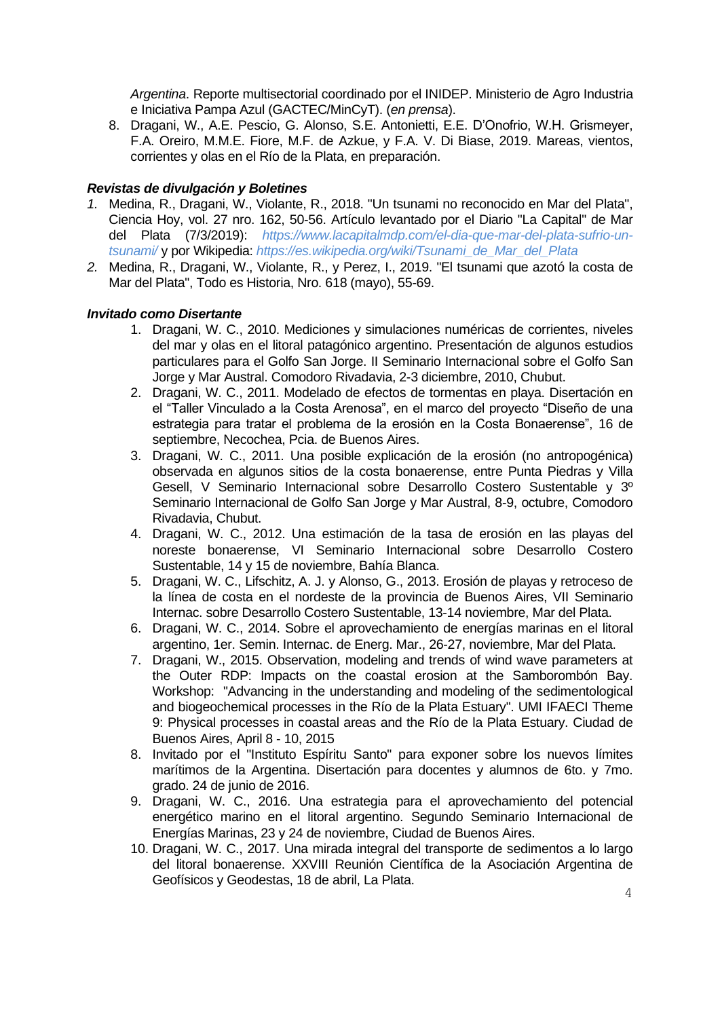*Argentina*. Reporte multisectorial coordinado por el INIDEP. Ministerio de Agro Industria e Iniciativa Pampa Azul (GACTEC/MinCyT). (*en prensa*).

8. Dragani, W., A.E. Pescio, G. Alonso, S.E. Antonietti, E.E. D'Onofrio, W.H. Grismeyer, F.A. Oreiro, M.M.E. Fiore, M.F. de Azkue, y F.A. V. Di Biase, 2019. Mareas, vientos, corrientes y olas en el Río de la Plata, en preparación.

#### *Revistas de divulgación y Boletines*

- *1.* Medina, R., Dragani, W., Violante, R., 2018. "Un tsunami no reconocido en Mar del Plata", Ciencia Hoy, vol. 27 nro. 162, 50-56. Artículo levantado por el Diario "La Capital" de Mar del Plata (7/3/2019): *https://www.lacapitalmdp.com/el-dia-que-mar-del-plata-sufrio-untsunami/* y por Wikipedia: *https://es.wikipedia.org/wiki/Tsunami\_de\_Mar\_del\_Plata*
- *2.* Medina, R., Dragani, W., Violante, R., y Perez, I., 2019. "El tsunami que azotó la costa de Mar del Plata", Todo es Historia, Nro. 618 (mayo), 55-69.

#### *Invitado como Disertante*

- 1. Dragani, W. C., 2010. Mediciones y simulaciones numéricas de corrientes, niveles del mar y olas en el litoral patagónico argentino. Presentación de algunos estudios particulares para el Golfo San Jorge. II Seminario Internacional sobre el Golfo San Jorge y Mar Austral. Comodoro Rivadavia, 2-3 diciembre, 2010, Chubut.
- 2. Dragani, W. C., 2011. Modelado de efectos de tormentas en playa. Disertación en el "Taller Vinculado a la Costa Arenosa", en el marco del proyecto "Diseño de una estrategia para tratar el problema de la erosión en la Costa Bonaerense", 16 de septiembre, Necochea, Pcia. de Buenos Aires.
- 3. Dragani, W. C., 2011. Una posible explicación de la erosión (no antropogénica) observada en algunos sitios de la costa bonaerense, entre Punta Piedras y Villa Gesell, V Seminario Internacional sobre Desarrollo Costero Sustentable y 3º Seminario Internacional de Golfo San Jorge y Mar Austral, 8-9, octubre, Comodoro Rivadavia, Chubut.
- 4. Dragani, W. C., 2012. Una estimación de la tasa de erosión en las playas del noreste bonaerense, VI Seminario Internacional sobre Desarrollo Costero Sustentable, 14 y 15 de noviembre, Bahía Blanca.
- 5. Dragani, W. C., Lifschitz, A. J. y Alonso, G., 2013. Erosión de playas y retroceso de la línea de costa en el nordeste de la provincia de Buenos Aires, VII Seminario Internac. sobre Desarrollo Costero Sustentable, 13-14 noviembre, Mar del Plata.
- 6. Dragani, W. C., 2014. Sobre el aprovechamiento de energías marinas en el litoral argentino, 1er. Semin. Internac. de Energ. Mar., 26-27, noviembre, Mar del Plata.
- 7. Dragani, W., 2015. Observation, modeling and trends of wind wave parameters at the Outer RDP: Impacts on the coastal erosion at the Samborombón Bay. Workshop: "Advancing in the understanding and modeling of the sedimentological and biogeochemical processes in the Río de la Plata Estuary". UMI IFAECI Theme 9: Physical processes in coastal areas and the Río de la Plata Estuary. Ciudad de Buenos Aires, April 8 - 10, 2015
- 8. Invitado por el "Instituto Espíritu Santo" para exponer sobre los nuevos límites marítimos de la Argentina. Disertación para docentes y alumnos de 6to. y 7mo. grado. 24 de junio de 2016.
- 9. Dragani, W. C., 2016. Una estrategia para el aprovechamiento del potencial energético marino en el litoral argentino. Segundo Seminario Internacional de Energías Marinas, 23 y 24 de noviembre, Ciudad de Buenos Aires.
- 10. Dragani, W. C., 2017. Una mirada integral del transporte de sedimentos a lo largo del litoral bonaerense. XXVIII Reunión Científica de la Asociación Argentina de Geofísicos y Geodestas, 18 de abril, La Plata.